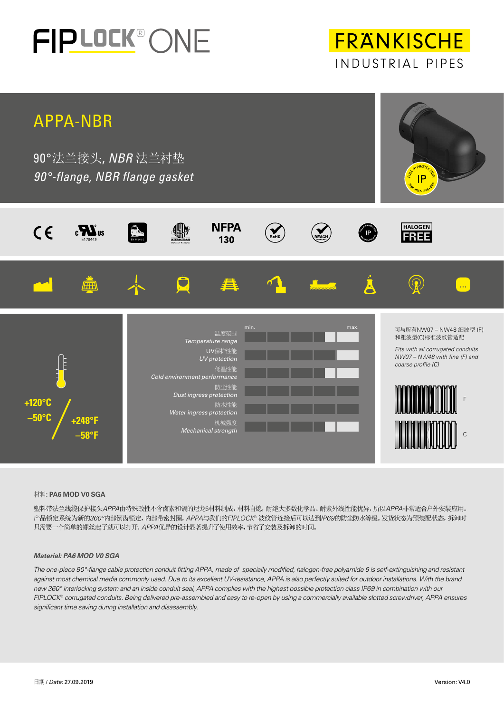

**FRANKISCHE** INDUSTRIAL PIPES



### 材料**: PA6 MOD V0 SGA**

塑料带法兰线缆保护接头*APPA*由特殊改性不含卤素和镉的尼龙6材料制成,材料自熄,耐绝大多数化学品。耐紫外线性能优异,所以*APPA*非常适合户外安装应用。 产品锁定系统为新的*360°*内部倒齿锁定,内部带密封圈,*APPA*与我们的*FIPLOCK®* 波纹管连接后可以达到*IP69*的防尘防水等级。发货状态为预装配状态,拆卸时 只需要一个简单的螺丝起子就可以打开。*APPA*优异的设计显著提升了使用效率,节省了安装及拆卸的时间。

### *Material: PA6 MOD V0 SGA*

*The one-piece 90°-flange cable protection conduit fitting APPA, made of specially modified, halogen-free polyamide 6 is self-extinguishing and resistant*  against most chemical media commonly used. Due to its excellent UV-resistance, APPA is also perfectly suited for outdoor installations. With the brand *new 360° interlocking system and an inside conduit seal, APPA complies with the highest possible protection class IP69 in combination with our FIPLOCK*® *corrugated conduits. Being delivered pre-assembled and easy to re-open by using a commercially available slotted screwdriver, APPA ensures significant time saving during installation and disassembly.*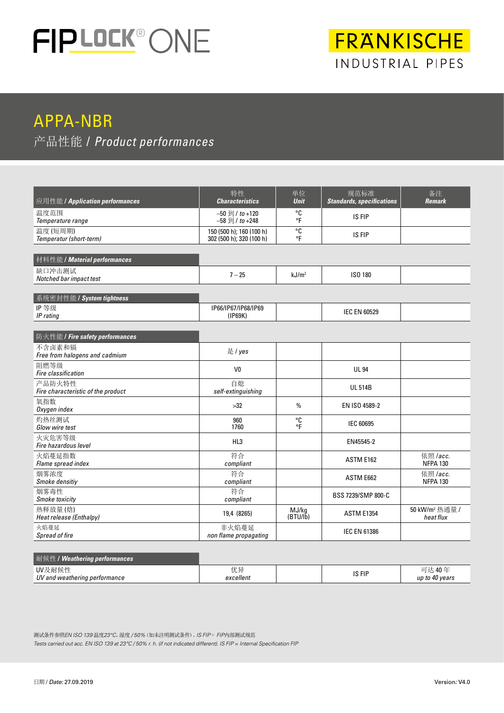

# FRANKISCHE INDUSTRIAL PIPES

# APPA-NBR

### 产品性能 / *Product performances*

| 应用性能 / Application performances              | 特性<br><b>Characteristics</b>                                   | 单位<br><b>Unit</b>                      | 规范标准<br><b>Standards, specifications</b> | 备注<br><b>Remark</b>                     |  |
|----------------------------------------------|----------------------------------------------------------------|----------------------------------------|------------------------------------------|-----------------------------------------|--|
| 温度范围<br>Temperature range                    | $-50$ $\frac{20}{21}$ / to +120<br>$-58 \frac{1}{2}$ / to +248 | °C<br>$\circ$ F                        | IS FIP                                   |                                         |  |
| 温度(短周期)<br>Temperatur (short-term)           | 150 (500 h); 160 (100 h)<br>302 (500 h); 320 (100 h)           |                                        |                                          |                                         |  |
| 材料性能 / Material performances                 |                                                                |                                        |                                          |                                         |  |
| 缺口冲击测试<br>Notched bar impact test            | $7 - 25$                                                       | kJ/m <sup>2</sup>                      | ISO 180                                  |                                         |  |
| 系统密封性能 / System tightness                    |                                                                |                                        |                                          |                                         |  |
| IP等级<br>IP rating                            | IP66/IP67/IP68/IP69<br>(IP69K)                                 |                                        | <b>IEC EN 60529</b>                      |                                         |  |
| 防火性能 / Fire safety performances              |                                                                |                                        |                                          |                                         |  |
| 不含卤素和镉<br>Free from halogens and cadmium     | 是 / yes                                                        |                                        |                                          |                                         |  |
| 阻燃等级<br>Fire classification                  | V <sub>0</sub>                                                 |                                        | <b>UL 94</b>                             |                                         |  |
| 产品防火特性<br>Fire characteristic of the product | 自熄<br>self-extinguishing                                       |                                        | <b>UL 514B</b>                           |                                         |  |
| 氧指数<br>Oxygen index                          | >32                                                            | $\frac{0}{0}$                          |                                          |                                         |  |
| 灼热丝测试<br>Glow wire test                      | 960<br>1760                                                    | °C<br>۰Ē                               | IEC 60695                                |                                         |  |
| 火灾危害等级<br>Fire hazardous level               | HL3                                                            |                                        | EN45545-2                                |                                         |  |
| 火焰蔓延指数<br>Flame spread index                 | 符合<br>compliant                                                |                                        | ASTM E162                                | 依照 /acc.<br><b>NFPA 130</b>             |  |
| 烟雾浓度<br>Smoke densitiy                       | 符合<br>compliant                                                |                                        | ASTM E662                                | 依照 /acc.<br><b>NFPA 130</b>             |  |
| 烟雾毒性<br>Smoke toxicity                       | 符合<br>compliant                                                |                                        | BSS 7239/SMP 800-C                       |                                         |  |
| 热释放量(焓)<br>Heat release (Enthalpy)           | 19,4 (8265)                                                    | MJ/kg<br><b>ASTM E1354</b><br>(BTU/lb) |                                          | 50 kW/m <sup>2</sup> 热通量 /<br>heat flux |  |
| 火焰蔓延<br>Spread of fire                       | 非火焰蔓延<br>non flame propagating                                 |                                        | <b>IEC EN 61386</b>                      |                                         |  |

| 耐候性 / Weathering performances           |                 |        |                          |
|-----------------------------------------|-----------------|--------|--------------------------|
| UV及耐候性<br>UV and weathering performance | 优异<br>excellent | IS FIP | 可达 40年<br>up to 40 years |

测试条件参照*EN ISO 139* 温度*23°C*,湿度 */ 50%*(如未注明测试条件)。*IS FIP* = *FIP*内部测试规范 *Tests carried out acc. EN ISO 139 at 23°C / 50% r. h. (if not indicated different). IS FIP = Internal Specification FIP*